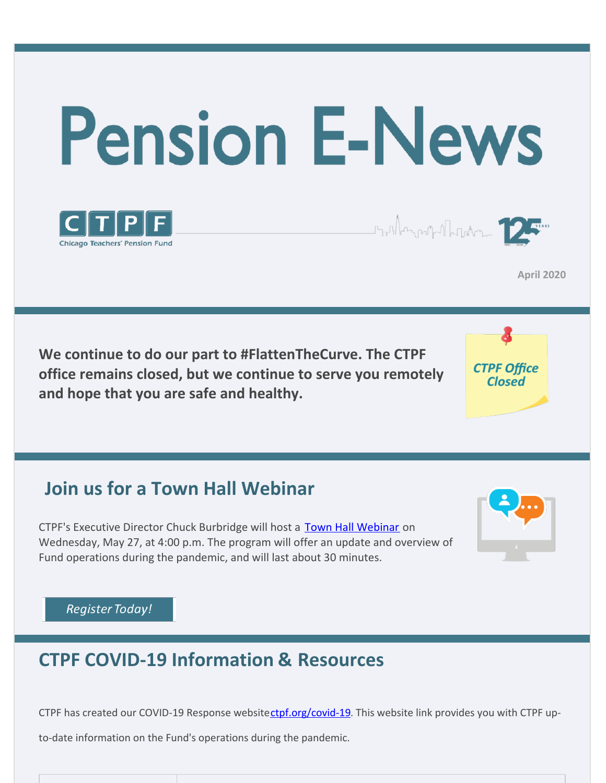



**April 2020**

**We continue to do our part to #FlattenTheCurve. The CTPF office remains closed, but we continue to serve you remotely and hope that you are safe and healthy.**



Stallangashallangan 1

# **Join us for a Town Hall Webinar**

CTPF's Executive Director Chuck Burbridge will host a **[Town Hall Webinar](https://bit.ly/2KKYZtw)** on Wednesday, May 27, at 4:00 p.m. The program will offer an update and overview of Fund operations during the pandemic, and will last about 30 minutes.



#### **Register Today!**

### **CTPF COVID-19 Information & Resources**

CTPF has created our COVID-19 Response websitectpf.org/covid-19. This website link provides you with CTPF up-

to-date information on the Fund's operations during the pandemic.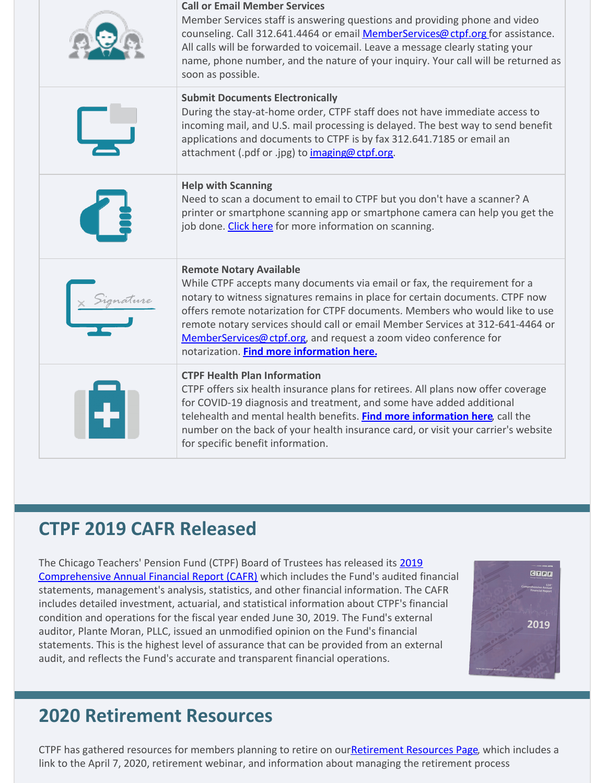| <b>Call or Email Member Services</b><br>Member Services staff is answering questions and providing phone and video<br>counseling. Call 312.641.4464 or email MemberServices@ctpf.org for assistance.<br>All calls will be forwarded to voicemail. Leave a message clearly stating your<br>name, phone number, and the nature of your inquiry. Your call will be returned as<br>soon as possible.                                                                                |
|---------------------------------------------------------------------------------------------------------------------------------------------------------------------------------------------------------------------------------------------------------------------------------------------------------------------------------------------------------------------------------------------------------------------------------------------------------------------------------|
| <b>Submit Documents Electronically</b><br>During the stay-at-home order, CTPF staff does not have immediate access to<br>incoming mail, and U.S. mail processing is delayed. The best way to send benefit<br>applications and documents to CTPF is by fax 312.641.7185 or email an<br>attachment (.pdf or .jpg) to imaging@ctpf.org.                                                                                                                                            |
| <b>Help with Scanning</b><br>Need to scan a document to email to CTPF but you don't have a scanner? A<br>printer or smartphone scanning app or smartphone camera can help you get the<br>job done. Click here for more information on scanning.                                                                                                                                                                                                                                 |
| <b>Remote Notary Available</b><br>While CTPF accepts many documents via email or fax, the requirement for a<br>notary to witness signatures remains in place for certain documents. CTPF now<br>offers remote notarization for CTPF documents. Members who would like to use<br>remote notary services should call or email Member Services at 312-641-4464 or<br>MemberServices@ctpf.org, and request a zoom video conference for<br>notarization. Find more information here. |
| <b>CTPF Health Plan Information</b><br>CTPF offers six health insurance plans for retirees. All plans now offer coverage<br>for COVID-19 diagnosis and treatment, and some have added additional<br>telehealth and mental health benefits. Find more information here, call the<br>number on the back of your health insurance card, or visit your carrier's website<br>for specific benefit information.                                                                       |

### **CTPF 2019 CAFR Released**

[The Chicago Teachers' Pension Fund \(CTPF\) Board of Trustees has released its 2019](https://www.ctpf.org/comprehensive-annual-financial-report-cafr) Comprehensive Annual Financial Report (CAFR) which includes the Fund's audited financial statements, management's analysis, statistics, and other financial information. The CAFR includes detailed investment, actuarial, and statistical information about CTPF's financial condition and operations for the fiscal year ended June 30, 2019. The Fund's external auditor, Plante Moran, PLLC, issued an unmodified opinion on the Fund's financial statements. This is the highest level of assurance that can be provided from an external audit, and reflects the Fund's accurate and transparent financial operations.



# **2020 Retirement Resources**

CTPF has gathered resources for members planning to retire on our**Retirement Resources Page**, which includes a link to the April 7, 2020, retirement webinar, and information about managing the retirement process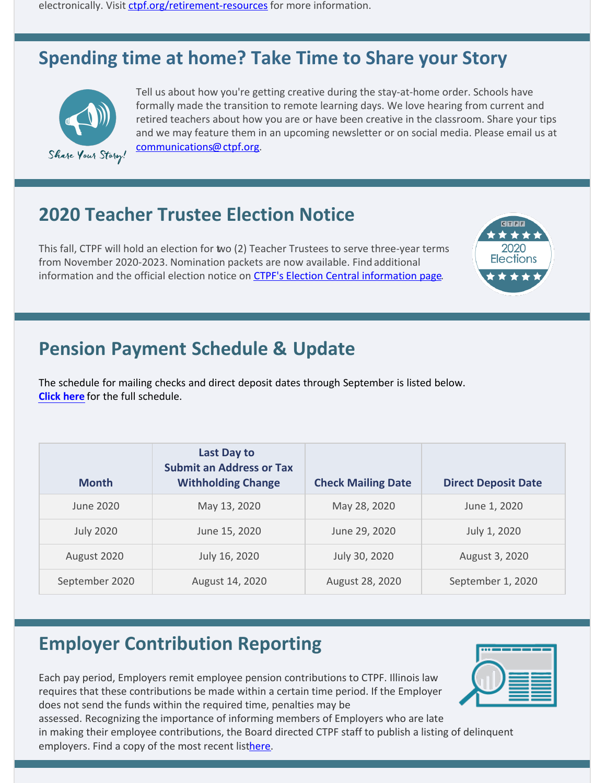electronically. Visit [ctpf.org/retirement-resources](http://ctpf.org/retirement-resources) for more information.

## **Spending time at home? Take Time to Share your Story**



Tell us about how you're getting creative during the stay-at-home order. Schools have formally made the transition to remote learning days. We love hearing from current and retired teachers about how you are or have been creative in the classroom. Share your tips and we may feature them in an upcoming newsletter or on social media. Please email us at [communications@ctpf.org](mailto:communications@ctpf.org).

## **2020 Teacher Trustee Election Notice**

This fall, CTPF will hold an election for two (2) Teacher Trustees to serve three-year terms from November 2020-2023. Nomination packets are now available. Find additional information and the official election notice on [CTPF's Election Central information page](https://www.ctpf.org/2020-election-central).



## **Pension Payment Schedule & Update**

The schedule for mailing checks and direct deposit dates through September is listed below. **[Click here](https://www.ctpf.org/pension-payments)** for the full schedule.

| <b>Month</b>     | Last Day to<br><b>Submit an Address or Tax</b><br><b>Withholding Change</b> | <b>Check Mailing Date</b> | <b>Direct Deposit Date</b> |
|------------------|-----------------------------------------------------------------------------|---------------------------|----------------------------|
| June 2020        | May 13, 2020                                                                | May 28, 2020              | June 1, 2020               |
| <b>July 2020</b> | June 15, 2020                                                               | June 29, 2020             | July 1, 2020               |
| August 2020      | July 16, 2020                                                               | July 30, 2020             | August 3, 2020             |
| September 2020   | August 14, 2020                                                             | August 28, 2020           | September 1, 2020          |

# **Employer Contribution Reporting**

Each pay period, Employers remit employee pension contributions to CTPF. Illinois law requires that these contributions be made within a certain time period. If the Employer does not send the funds within the required time, penalties may be assessed. Recognizing the importance of informing members of Employers who are late



in making their employee contributions, the Board directed CTPF staff to publish a listing of delinquent employers. Find a copy of the most recent listhere.